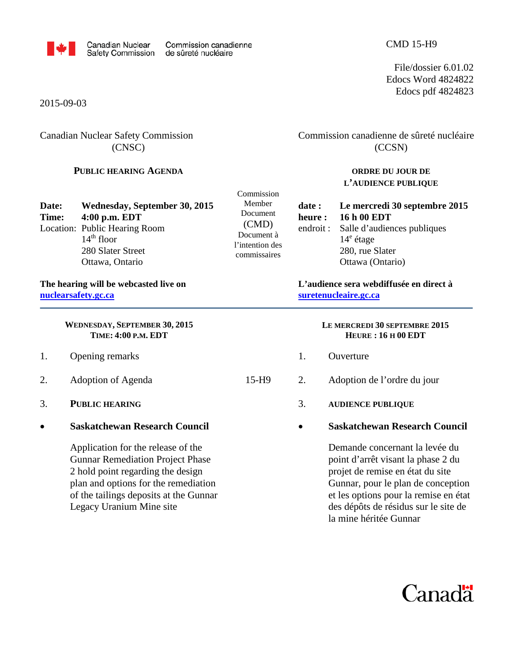

File/dossier 6.01.02 Edocs Word 4824822 Edocs pdf 4824823

2015-09-03

## Canadian Nuclear Safety Commission (CNSC)

### **PUBLIC HEARING AGENDA**

Commission canadienne de sûreté nucléaire (CCSN)

#### **ORDRE DU JOUR DE L'AUDIENCE PUBLIQUE**

| Date:<br>Time: | Wednesday, September 30, 2015<br>4:00 p.m. EDT<br>Location: Public Hearing Room<br>$14th$ floor<br>280 Slater Street<br>Ottawa, Ontario | Commission<br>Member<br>Document<br>(CMD)<br>Document à<br>l'intention des<br>commissaires | date :<br>heure : | Le mercredi 30 septembre 2015<br>16 h 00 EDT<br>endroit: Salle d'audiences publiques<br>$14^e$ étage<br>280, rue Slater<br>Ottawa (Ontario) |
|----------------|-----------------------------------------------------------------------------------------------------------------------------------------|--------------------------------------------------------------------------------------------|-------------------|---------------------------------------------------------------------------------------------------------------------------------------------|
|                |                                                                                                                                         |                                                                                            |                   |                                                                                                                                             |

#### **The hearing will be webcasted live on [nuclearsafety.gc.ca](http://www.nuclearsafety.gc.ca/)**

**WEDNESDAY, SEPTEMBER 30, 2015 TIME: 4:00 P.M. EDT**

- 1. Opening remarks
- 2. Adoption of Agenda 15-H9
- 3. **PUBLIC HEARING**
- **Saskatchewan Research Council**

Application for the release of the Gunnar Remediation Project Phase 2 hold point regarding the design plan and options for the remediation of the tailings deposits at the Gunnar Legacy Uranium Mine site

# **L'audience sera webdiffusée en direct à [suretenucleaire.gc.ca](http://www.suretenucleaire.gc.ca/)**

#### **LE MERCREDI 30 SEPTEMBRE 2015 HEURE : 16 H 00 EDT**

- 1. Ouverture
- 2. Adoption de l'ordre du jour
	- 3. **AUDIENCE PUBLIQUE**
		- **Saskatchewan Research Council**

Demande concernant la levée du point d'arrêt visant la phase 2 du projet de remise en état du site Gunnar, pour le plan de conception et les options pour la remise en état des dépôts de résidus sur le site de la mine héritée Gunnar